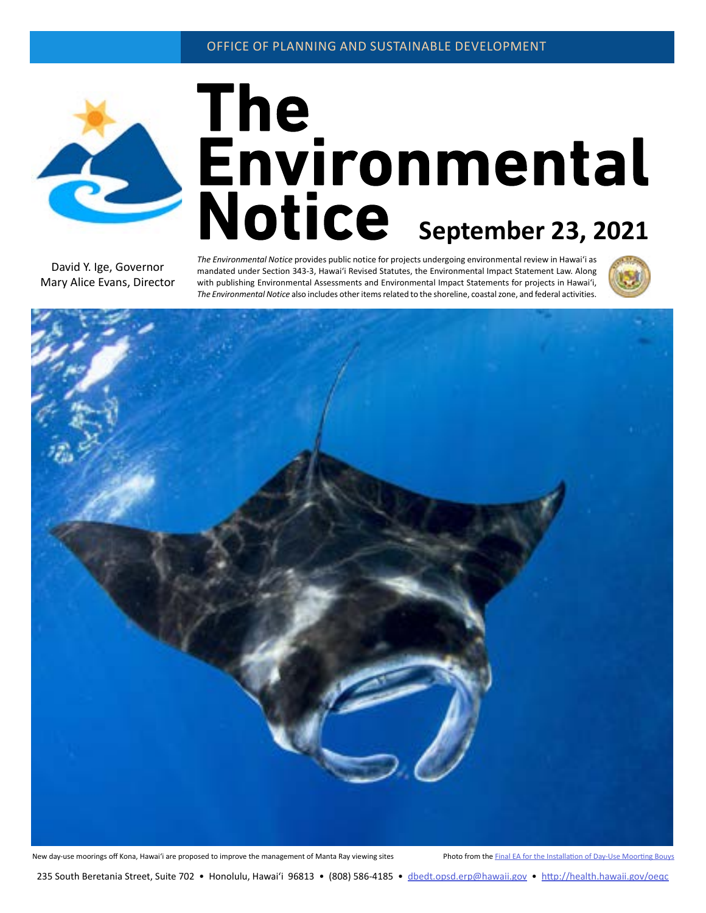

# The<br>**Environmental**<br>Notice September 23, 2021

David Y. Ige, Governor Mary Alice Evans, Director *The Environmental Notice* provides public notice for projects undergoing environmental review in Hawaiʻi as mandated under Section 343-3, Hawaiʻi Revised Statutes, the Environmental Impact Statement Law. Along with publishing Environmental Assessments and Environmental Impact Statements for projects in Hawaiʻi, *The Environmental Notice* also includes other items related to the shoreline, coastal zone, and federal activities.



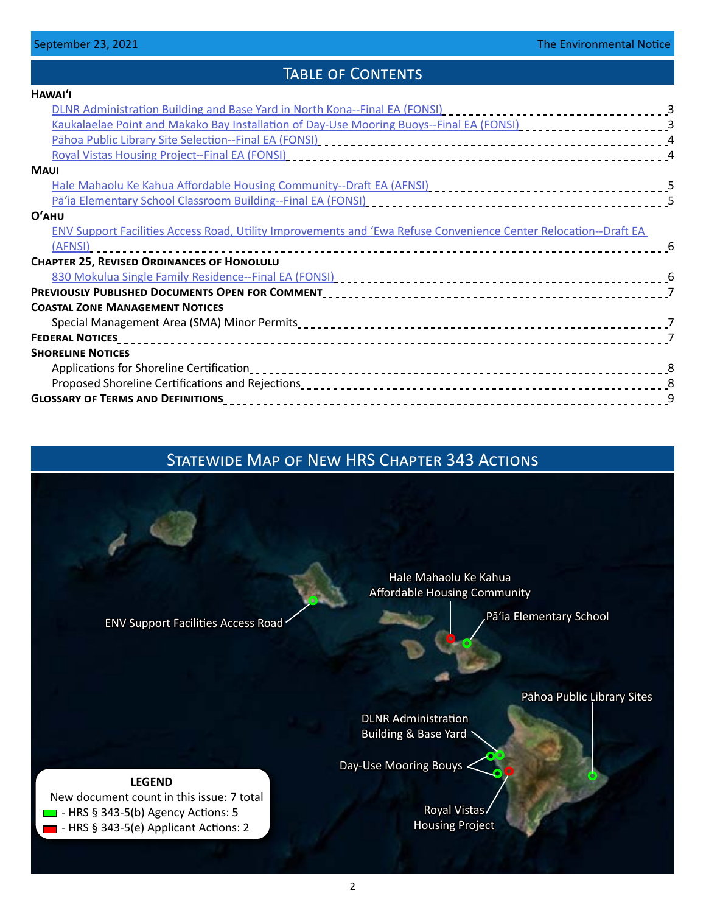# TABLE OF CONTENTS

| HAWAI'I                                                                                                                                                                                                                        |  |
|--------------------------------------------------------------------------------------------------------------------------------------------------------------------------------------------------------------------------------|--|
| DLNR Administration Building and Base Yard in North Kona--Final EA (FONSI) [1] [1] [1] [1] [1] [1] [3] [1] [3                                                                                                                  |  |
| Kaukalaelae Point and Makako Bay Installation of Day-Use Mooring Buoys--Final EA (FONSI) [10] [10] [10] [3] [3                                                                                                                 |  |
|                                                                                                                                                                                                                                |  |
|                                                                                                                                                                                                                                |  |
| <b>MAUI</b>                                                                                                                                                                                                                    |  |
|                                                                                                                                                                                                                                |  |
|                                                                                                                                                                                                                                |  |
| $O'$ AHU                                                                                                                                                                                                                       |  |
| ENV Support Facilities Access Road, Utility Improvements and 'Ewa Refuse Convenience Center Relocation--Draft EA                                                                                                               |  |
| (AFNSI)                                                                                                                                                                                                                        |  |
| <b>CHAPTER 25, REVISED ORDINANCES OF HONOLULU</b>                                                                                                                                                                              |  |
| 830 Mokulua Single Family Residence--Final EA (FONSI) [10] The Content of the Case of Mokulua Single Family Residence--Final EA (FONSI) [10] The Content of the Case of Mokulua Single Temperature of the Case of Mokulua Sing |  |
|                                                                                                                                                                                                                                |  |
| <b>COASTAL ZONE MANAGEMENT NOTICES</b>                                                                                                                                                                                         |  |
|                                                                                                                                                                                                                                |  |
|                                                                                                                                                                                                                                |  |
| <b>SHORELINE NOTICES</b>                                                                                                                                                                                                       |  |
|                                                                                                                                                                                                                                |  |
|                                                                                                                                                                                                                                |  |
|                                                                                                                                                                                                                                |  |

# Statewide Map of New HRS Chapter 343 Actions

[ENV Support Facilities Access Road](#page-5-0)

[Hale Mahaolu Ke Kahua](#page-4-0)  Affordable Housing Community

[Pāʻia Elementary School](#page-4-0)

[Pāhoa Public Library Sites](#page-3-0)

[DLNR Administration](#page-2-0)  [Building & Base Yard](#page-2-0)

[Day-Use Mooring Bouys](#page-2-0)

[Royal Vistas](#page-3-0)  [Housing Project](#page-3-0)

**LEGEND** New document count in this issue: 7 total  $\Box$  - HRS § 343-5(b) Agency Actions: 5  $\blacksquare$  - HRS § 343-5(e) Applicant Actions: 2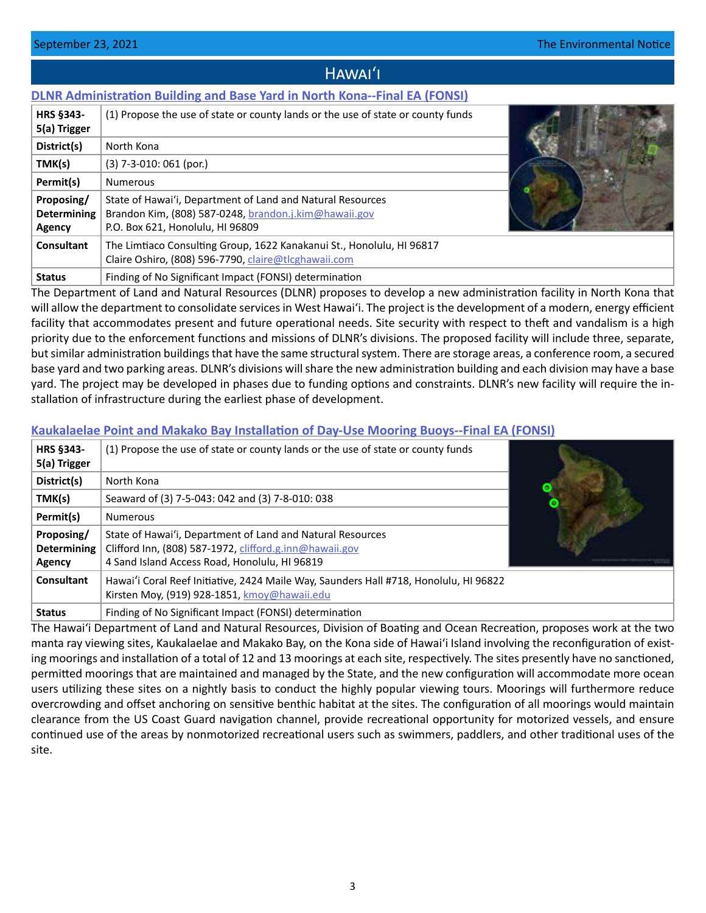# Hawaiʻi

# <span id="page-2-0"></span>**[DLNR Administration Building and Base Yard in North Kona--Final EA \(FONSI\)](http://oeqc2.doh.hawaii.gov/Doc_Library/2021-09-23-HA-FEA-DLNR-North-Kona-Administration-Building-and-Base-Yard.pdf)**

| <b>HRS §343-</b><br>5(a) Trigger                  | (1) Propose the use of state or county lands or the use of state or county funds                                                                        |  |
|---------------------------------------------------|---------------------------------------------------------------------------------------------------------------------------------------------------------|--|
| District(s)                                       | North Kona                                                                                                                                              |  |
| TMK(s)                                            | $(3)$ 7-3-010: 061 (por.)                                                                                                                               |  |
| Permit(s)                                         | <b>Numerous</b>                                                                                                                                         |  |
| Proposing/<br><b>Determining</b><br><b>Agency</b> | State of Hawai'i, Department of Land and Natural Resources<br>Brandon Kim, (808) 587-0248, brandon.j.kim@hawaii.gov<br>P.O. Box 621, Honolulu, HI 96809 |  |
| Consultant                                        | The Limtiaco Consulting Group, 1622 Kanakanui St., Honolulu, HI 96817<br>Claire Oshiro, (808) 596-7790, claire@tlcghawaii.com                           |  |
| <b>Status</b>                                     | Finding of No Significant Impact (FONSI) determination                                                                                                  |  |

The Department of Land and Natural Resources (DLNR) proposes to develop a new administration facility in North Kona that will allow the department to consolidate services in West Hawaiʻi. The project is the development of a modern, energy efficient facility that accommodates present and future operational needs. Site security with respect to theft and vandalism is a high priority due to the enforcement functions and missions of DLNR's divisions. The proposed facility will include three, separate, but similar administration buildings that have the same structural system. There are storage areas, a conference room, a secured base yard and two parking areas. DLNR's divisions will share the new administration building and each division may have a base yard. The project may be developed in phases due to funding options and constraints. DLNR's new facility will require the installation of infrastructure during the earliest phase of development.

# **[Kaukalaelae Point and Makako Bay Installation of Day-Use Mooring Buoys--Final EA \(FONSI\)](http://oeqc2.doh.hawaii.gov/Doc_Library/2021-09-23-HA-FEA-Kaukalaelae-Point-and-Makako-Bay-Installation-of-Day-Use-Mooring-Buoys.pdf)**

| <b>HRS §343-</b><br>5(a) Trigger           | (1) Propose the use of state or county lands or the use of state or county funds                                                                                       |   |
|--------------------------------------------|------------------------------------------------------------------------------------------------------------------------------------------------------------------------|---|
| District(s)                                | North Kona                                                                                                                                                             | ō |
| TMK(s)                                     | Seaward of (3) 7-5-043: 042 and (3) 7-8-010: 038                                                                                                                       |   |
| Permit(s)                                  | <b>Numerous</b>                                                                                                                                                        |   |
| Proposing/<br><b>Determining</b><br>Agency | State of Hawai'i, Department of Land and Natural Resources<br>Clifford Inn, (808) 587-1972, clifford.g.inn@hawaii.gov<br>4 Sand Island Access Road, Honolulu, HI 96819 |   |
| Consultant                                 | Hawai'i Coral Reef Initiative, 2424 Maile Way, Saunders Hall #718, Honolulu, HI 96822<br>Kirsten Moy, (919) 928-1851, kmoy@hawaii.edu                                  |   |
| <b>Status</b>                              | Finding of No Significant Impact (FONSI) determination                                                                                                                 |   |

The Hawaiʻi Department of Land and Natural Resources, Division of Boating and Ocean Recreation, proposes work at the two manta ray viewing sites, Kaukalaelae and Makako Bay, on the Kona side of Hawaiʻi Island involving the reconfiguration of existing moorings and installation of a total of 12 and 13 moorings at each site, respectively. The sites presently have no sanctioned, permitted moorings that are maintained and managed by the State, and the new configuration will accommodate more ocean users utilizing these sites on a nightly basis to conduct the highly popular viewing tours. Moorings will furthermore reduce overcrowding and offset anchoring on sensitive benthic habitat at the sites. The configuration of all moorings would maintain clearance from the US Coast Guard navigation channel, provide recreational opportunity for motorized vessels, and ensure continued use of the areas by nonmotorized recreational users such as swimmers, paddlers, and other traditional uses of the site.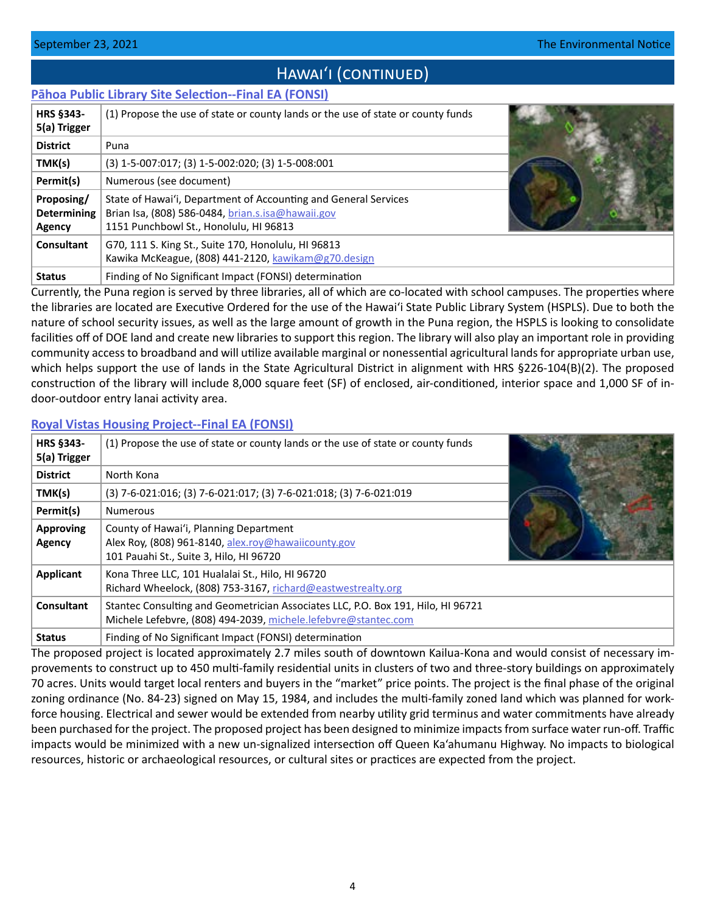# HAWAI'I (CONTINUED)

# <span id="page-3-0"></span>**[Pāhoa Public Library Site Selection--Final EA \(FONSI\)](http://oeqc2.doh.hawaii.gov/Doc_Library/2021-09-23-HA-FEA-Pahoa-Public-Library-Site-Selection.pdf)**

| <b>HRS §343-</b><br>5(a) Trigger           | (1) Propose the use of state or county lands or the use of state or county funds                                                                               |  |
|--------------------------------------------|----------------------------------------------------------------------------------------------------------------------------------------------------------------|--|
| <b>District</b>                            | Puna                                                                                                                                                           |  |
| TMK(s)                                     | (3) 1-5-007:017; (3) 1-5-002:020; (3) 1-5-008:001                                                                                                              |  |
| Permit(s)                                  | Numerous (see document)                                                                                                                                        |  |
| Proposing/<br><b>Determining</b><br>Agency | State of Hawai'i, Department of Accounting and General Services<br>Brian Isa, (808) 586-0484, brian.s.isa@hawaii.gov<br>1151 Punchbowl St., Honolulu, HI 96813 |  |
| Consultant                                 | G70, 111 S. King St., Suite 170, Honolulu, HI 96813<br>Kawika McKeague, (808) 441-2120, kawikam@g70.design                                                     |  |
| <b>Status</b>                              | Finding of No Significant Impact (FONSI) determination                                                                                                         |  |

Currently, the Puna region is served by three libraries, all of which are co-located with school campuses. The properties where the libraries are located are Executive Ordered for the use of the Hawai'i State Public Library System (HSPLS). Due to both the nature of school security issues, as well as the large amount of growth in the Puna region, the HSPLS is looking to consolidate facilities off of DOE land and create new libraries to support this region. The library will also play an important role in providing community access to broadband and will utilize available marginal or nonessential agricultural lands for appropriate urban use, which helps support the use of lands in the State Agricultural District in alignment with HRS §226-104(B)(2). The proposed construction of the library will include 8,000 square feet (SF) of enclosed, air-conditioned, interior space and 1,000 SF of indoor-outdoor entry lanai activity area.

# **[Royal Vistas Housing Project--Final EA \(FONSI\)](http://oeqc2.doh.hawaii.gov/Doc_Library/2021-09-23-HA-FEA-Royal-Vistas-Housing-Project.pdf)**

| HRS §343-<br>5(a) Trigger  | (1) Propose the use of state or county lands or the use of state or county funds                                                                   |  |
|----------------------------|----------------------------------------------------------------------------------------------------------------------------------------------------|--|
| <b>District</b>            | North Kona                                                                                                                                         |  |
| TMK(s)                     | (3) 7-6-021:016; (3) 7-6-021:017; (3) 7-6-021:018; (3) 7-6-021:019                                                                                 |  |
| Permit(s)                  | <b>Numerous</b>                                                                                                                                    |  |
| <b>Approving</b><br>Agency | County of Hawai'i, Planning Department<br>Alex Roy, (808) 961-8140, alex.roy@hawaiicounty.gov<br>101 Pauahi St., Suite 3, Hilo, HI 96720           |  |
| <b>Applicant</b>           | Kona Three LLC, 101 Hualalai St., Hilo, HI 96720<br>Richard Wheelock, (808) 753-3167, richard@eastwestrealty.org                                   |  |
| Consultant                 | Stantec Consulting and Geometrician Associates LLC, P.O. Box 191, Hilo, HI 96721<br>Michele Lefebvre, (808) 494-2039, michele.lefebvre@stantec.com |  |
| <b>Status</b>              | Finding of No Significant Impact (FONSI) determination                                                                                             |  |

The proposed project is located approximately 2.7 miles south of downtown Kailua-Kona and would consist of necessary improvements to construct up to 450 multi-family residential units in clusters of two and three-story buildings on approximately 70 acres. Units would target local renters and buyers in the "market" price points. The project is the final phase of the original zoning ordinance (No. 84-23) signed on May 15, 1984, and includes the multi-family zoned land which was planned for workforce housing. Electrical and sewer would be extended from nearby utility grid terminus and water commitments have already been purchased for the project. The proposed project has been designed to minimize impacts from surface water run-off. Traffic impacts would be minimized with a new un-signalized intersection off Queen Ka'ahumanu Highway. No impacts to biological resources, historic or archaeological resources, or cultural sites or practices are expected from the project.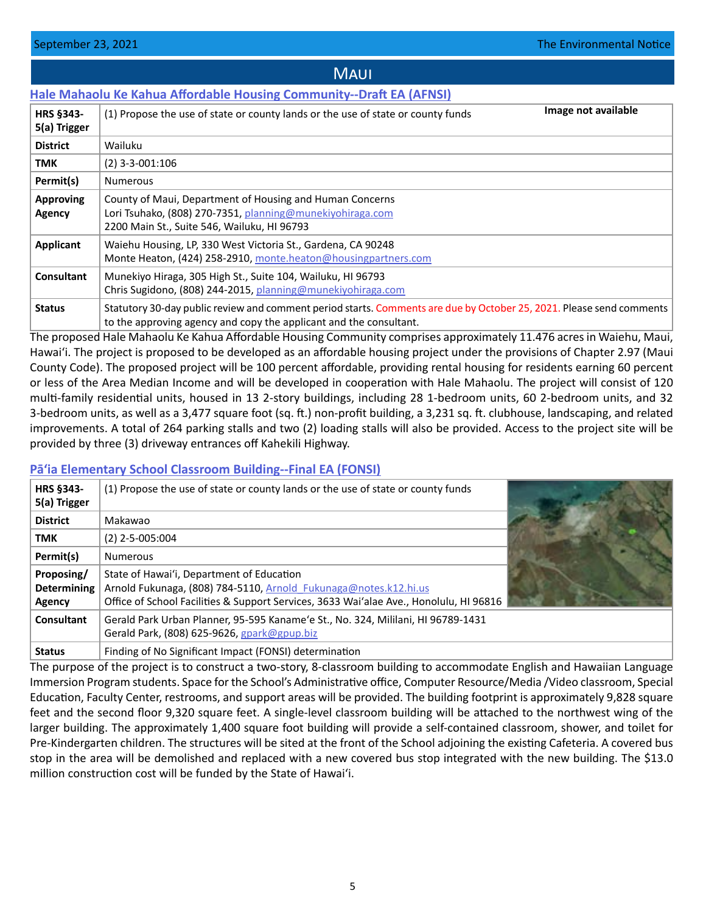### <span id="page-4-0"></span>**[Hale Mahaolu Ke Kahua Affordable Housing Community--Draft EA \(AFNSI\)](http://oeqc2.doh.hawaii.gov/Doc_Library/2021-09-23-MA-DEA-Hale-Mahaolu-Ke-Kahua-Affordable-Housing-Community.pdf) HRS §343- 5(a) Trigger** (1) Propose the use of state or county lands or the use of state or county funds **District** | Wailuku **TMK** (2) 3-3-001:106 **Permit(s)** Numerous **Approving Agency** County of Maui, Department of Housing and Human Concerns Lori Tsuhako, (808) 270-7351, [planning@munekiyohiraga.com](mailto:planning%40munekiyohiraga.com?subject=) 2200 Main St., Suite 546, Wailuku, HI 96793 **Applicant** Waiehu Housing, LP, 330 West Victoria St., Gardena, CA 90248 Monte Heaton, (424) 258-2910, [monte.heaton@housingpartners.com](mailto:monte.heaton%40housingpartners.com?subject=) **Consultant** | Munekiyo Hiraga, 305 High St., Suite 104, Wailuku, HI 96793 Chris Sugidono, (808) 244-2015, [planning@munekiyohiraga.com](mailto:planning%40munekiyohiraga.com?subject=) **Status** Statutory 30-day public review and comment period starts. Comments are due by October 25, 2021. Please send comments to the approving agency and copy the applicant and the consultant. **Image not available**

**MAUI** 

The proposed Hale Mahaolu Ke Kahua Affordable Housing Community comprises approximately 11.476 acres in Waiehu, Maui, Hawai'i. The project is proposed to be developed as an affordable housing project under the provisions of Chapter 2.97 (Maui County Code). The proposed project will be 100 percent affordable, providing rental housing for residents earning 60 percent or less of the Area Median Income and will be developed in cooperation with Hale Mahaolu. The project will consist of 120 multi-family residential units, housed in 13 2-story buildings, including 28 1-bedroom units, 60 2-bedroom units, and 32 3-bedroom units, as well as a 3,477 square foot (sq. ft.) non-profit building, a 3,231 sq. ft. clubhouse, landscaping, and related improvements. A total of 264 parking stalls and two (2) loading stalls will also be provided. Access to the project site will be provided by three (3) driveway entrances off Kahekili Highway.

# **P[āʻia Elementary School Classroom Building--Final EA \(FONSI\)](http://oeqc2.doh.hawaii.gov/Doc_Library/2021-09-23-MA-FEA-Paia-Elementary-School-New-Classroom-Building.pdf)**

| <b>HRS §343-</b><br>5(a) Trigger                  | (1) Propose the use of state or county lands or the use of state or county funds                                                                                                                        |  |
|---------------------------------------------------|---------------------------------------------------------------------------------------------------------------------------------------------------------------------------------------------------------|--|
| <b>District</b>                                   | Makawao                                                                                                                                                                                                 |  |
| TMK                                               | $(2)$ 2-5-005:004                                                                                                                                                                                       |  |
| Permit(s)                                         | <b>Numerous</b>                                                                                                                                                                                         |  |
| Proposing/<br><b>Determining</b><br><b>Agency</b> | State of Hawai'i, Department of Education<br>Arnold Fukunaga, (808) 784-5110, Arnold Fukunaga@notes.k12.hi.us<br>Office of School Facilities & Support Services, 3633 Wai'alae Ave., Honolulu, HI 96816 |  |
| Consultant                                        | Gerald Park Urban Planner, 95-595 Kaname'e St., No. 324, Mililani, HI 96789-1431<br>Gerald Park, (808) 625-9626, gpark@gpup.biz                                                                         |  |
| <b>Status</b>                                     | Finding of No Significant Impact (FONSI) determination                                                                                                                                                  |  |

The purpose of the project is to construct a two-story, 8-classroom building to accommodate English and Hawaiian Language Immersion Program students. Space for the School's Administrative office, Computer Resource/Media /Video classroom, Special Education, Faculty Center, restrooms, and support areas will be provided. The building footprint is approximately 9,828 square feet and the second floor 9,320 square feet. A single-level classroom building will be attached to the northwest wing of the larger building. The approximately 1,400 square foot building will provide a self-contained classroom, shower, and toilet for Pre-Kindergarten children. The structures will be sited at the front of the School adjoining the existing Cafeteria. A covered bus stop in the area will be demolished and replaced with a new covered bus stop integrated with the new building. The \$13.0 million construction cost will be funded by the State of Hawaiʻi.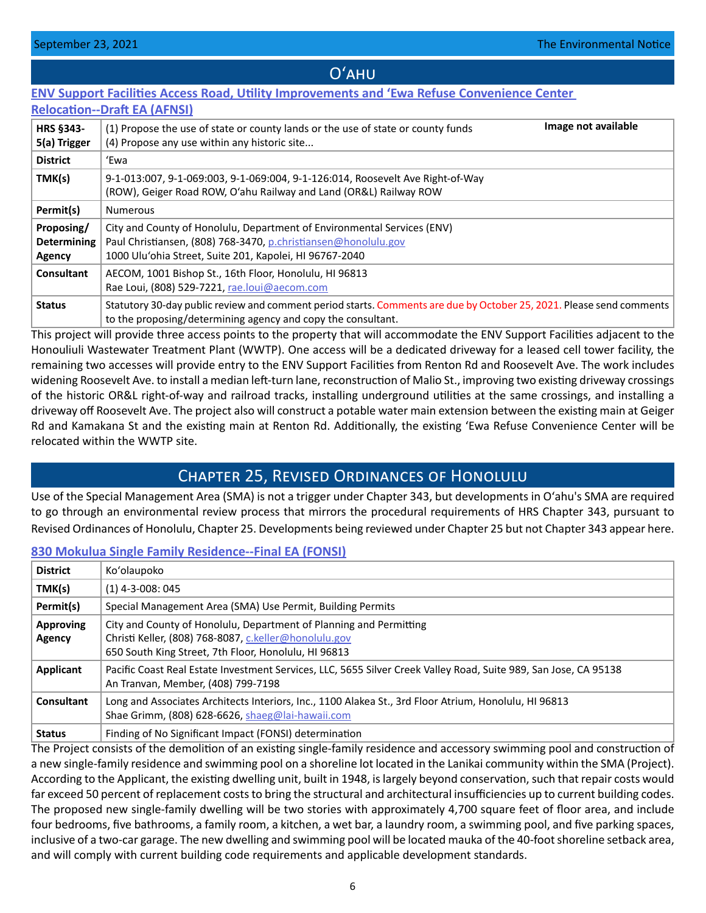# Oʻahu

# <span id="page-5-0"></span>**[ENV Support Facilities Access Road, Utility Improvements and 'Ewa Refuse Convenience Center](http://oeqc2.doh.hawaii.gov/Doc_Library/2021-09-23-OA-DEA-ENV-Support-Facilities-Access-Road-Utility-Improvements-Ewa-Refuse-Center-Relocation.pdf)**

| <b>Relocation--Draft EA (AFNSI)</b>        |                                                                                                                                                                                                      |  |  |  |  |
|--------------------------------------------|------------------------------------------------------------------------------------------------------------------------------------------------------------------------------------------------------|--|--|--|--|
| <b>HRS §343-</b><br>5(a) Trigger           | Image not available<br>(1) Propose the use of state or county lands or the use of state or county funds<br>(4) Propose any use within any historic site                                              |  |  |  |  |
| <b>District</b>                            | 'Ewa                                                                                                                                                                                                 |  |  |  |  |
| TMK(s)                                     | 9-1-013:007, 9-1-069:003, 9-1-069:004, 9-1-126:014, Roosevelt Ave Right-of-Way<br>(ROW), Geiger Road ROW, O'ahu Railway and Land (OR&L) Railway ROW                                                  |  |  |  |  |
| Permit(s)                                  | <b>Numerous</b>                                                                                                                                                                                      |  |  |  |  |
| Proposing/<br><b>Determining</b><br>Agency | City and County of Honolulu, Department of Environmental Services (ENV)<br>Paul Christiansen, (808) 768-3470, p.christiansen@honolulu.gov<br>1000 Ulu'ohia Street, Suite 201, Kapolei, HI 96767-2040 |  |  |  |  |
| Consultant                                 | AECOM, 1001 Bishop St., 16th Floor, Honolulu, HI 96813<br>Rae Loui, (808) 529-7221, rae.loui@aecom.com                                                                                               |  |  |  |  |
| <b>Status</b>                              | Statutory 30-day public review and comment period starts. Comments are due by October 25, 2021. Please send comments<br>to the proposing/determining agency and copy the consultant.                 |  |  |  |  |

This project will provide three access points to the property that will accommodate the ENV Support Facilities adjacent to the Honouliuli Wastewater Treatment Plant (WWTP). One access will be a dedicated driveway for a leased cell tower facility, the remaining two accesses will provide entry to the ENV Support Facilities from Renton Rd and Roosevelt Ave. The work includes widening Roosevelt Ave. to install a median left-turn lane, reconstruction of Malio St., improving two existing driveway crossings of the historic OR&L right-of-way and railroad tracks, installing underground utilities at the same crossings, and installing a driveway off Roosevelt Ave. The project also will construct a potable water main extension between the existing main at Geiger Rd and Kamakana St and the existing main at Renton Rd. Additionally, the existing 'Ewa Refuse Convenience Center will be relocated within the WWTP site.

# Chapter 25, Revised Ordinances of Honolulu

Use of the Special Management Area (SMA) is not a trigger under Chapter 343, but developments in Oʻahu's SMA are required to go through an environmental review process that mirrors the procedural requirements of HRS Chapter 343, pursuant to Revised Ordinances of Honolulu, Chapter 25. Developments being reviewed under Chapter 25 but not Chapter 343 appear here.

# **[830 Mokulua Single Family Residence--Final EA \(FONSI\)](http://oeqc2.doh.hawaii.gov/Other_TEN_Publications/2021-09-23-OA-Chapter-25-FEA-830-Mokulua-Single-Family-Residence.pdf)**

| <b>District</b>                   | Ko'olaupoko                                                                                                                                                                                                                                                                                 |
|-----------------------------------|---------------------------------------------------------------------------------------------------------------------------------------------------------------------------------------------------------------------------------------------------------------------------------------------|
| TMK(s)                            | $(1)$ 4-3-008: 045                                                                                                                                                                                                                                                                          |
| Permit(s)                         | Special Management Area (SMA) Use Permit, Building Permits                                                                                                                                                                                                                                  |
| <b>Approving</b><br><b>Agency</b> | City and County of Honolulu, Department of Planning and Permitting<br>Christi Keller, (808) 768-8087, c.keller@honolulu.gov<br>650 South King Street, 7th Floor, Honolulu, HI 96813                                                                                                         |
| <b>Applicant</b>                  | Pacific Coast Real Estate Investment Services, LLC, 5655 Silver Creek Valley Road, Suite 989, San Jose, CA 95138<br>An Tranvan, Member, (408) 799-7198                                                                                                                                      |
| <b>Consultant</b>                 | Long and Associates Architects Interiors, Inc., 1100 Alakea St., 3rd Floor Atrium, Honolulu, HI 96813<br>Shae Grimm, (808) 628-6626, shaeg@lai-hawaii.com                                                                                                                                   |
| <b>Status</b>                     | Finding of No Significant Impact (FONSI) determination<br>$\mathbf{r}$ , and the state of the state of the state of the state of the state of the state of the state of the state of the state of the state of the state of the state of the state of the state of the state of the state o |

The Project consists of the demolition of an existing single-family residence and accessory swimming pool and construction of a new single-family residence and swimming pool on a shoreline lot located in the Lanikai community within the SMA (Project). According to the Applicant, the existing dwelling unit, built in 1948, is largely beyond conservation, such that repair costs would far exceed 50 percent of replacement costs to bring the structural and architectural insufficiencies up to current building codes. The proposed new single-family dwelling will be two stories with approximately 4,700 square feet of floor area, and include four bedrooms, five bathrooms, a family room, a kitchen, a wet bar, a laundry room, a swimming pool, and five parking spaces, inclusive of a two-car garage. The new dwelling and swimming pool will be located mauka of the 40-foot shoreline setback area, and will comply with current building code requirements and applicable development standards.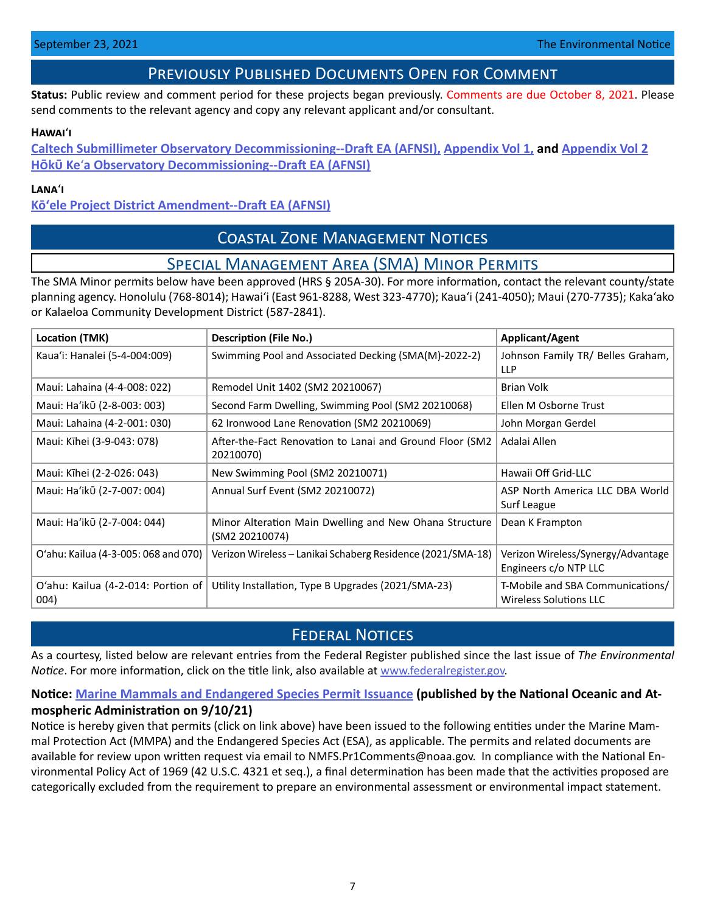# Previously Published Documents Open for Comment

<span id="page-6-0"></span>**Status:** Public review and comment period for these projects began previously. Comments are due October 8, 2021. Please send comments to the relevant agency and copy any relevant applicant and/or consultant.

### **Hawai**ʻ**i**

**[Caltech Submillimeter Observatory Decommissioning--Draft EA \(AFNSI\),](http://oeqc2.doh.hawaii.gov/Doc_Library/2021-09-08-HA-DEA-Caltech-Submillimeter-Observatory-Decommissioning.pdf) [Appendix Vol 1,](http://oeqc2.doh.hawaii.gov/Doc_Library/2021-09-08-HA-DEA-Caltech-Submillimeter-Observatory-Decommissioning-Appendix-Vol-1.pdf) and [Appendix Vol 2](http://oeqc2.doh.hawaii.gov/Doc_Library/2021-09-08-HA-DEA-Caltech-Submillimeter-Observatory-Decommissioning-Appendix-Vol-2.pdf) H�k� Ke**ʻ**[a Observatory Decommissioning--Draft EA \(AFNSI\)](http://oeqc2.doh.hawaii.gov/Doc_Library/2021-09-08-HA-DEA-Hoku-Kea-Observatory-Decommissioning.pdf)**

### **Lana**ʻ**i**

# **[Kōʻele Project District Amendment--Draft EA \(AFNSI\)](http://oeqc2.doh.hawaii.gov/Doc_Library/2021-09-08-LA-DEA-Koele-Project-District-Amendment.pdf)**

# Coastal Zone Management Notices

# Special Management Area (SMA) Minor Permits

The SMA Minor permits below have been approved (HRS § 205A-30). For more information, contact the relevant county/state planning agency. Honolulu (768-8014); Hawaiʻi (East 961-8288, West 323-4770); Kauaʻi (241-4050); Maui (270-7735); Kakaʻako or Kalaeloa Community Development District (587-2841).

| Location (TMK)                             | Description (File No.)                                                   | <b>Applicant/Agent</b>                                            |
|--------------------------------------------|--------------------------------------------------------------------------|-------------------------------------------------------------------|
| Kaua'i: Hanalei (5-4-004:009)              | Swimming Pool and Associated Decking (SMA(M)-2022-2)                     | Johnson Family TR/ Belles Graham,<br><b>LLP</b>                   |
| Maui: Lahaina (4-4-008: 022)               | Remodel Unit 1402 (SM2 20210067)                                         | <b>Brian Volk</b>                                                 |
| Maui: Ha'ikū (2-8-003: 003)                | Second Farm Dwelling, Swimming Pool (SM2 20210068)                       | Ellen M Osborne Trust                                             |
| Maui: Lahaina (4-2-001: 030)               | 62 Ironwood Lane Renovation (SM2 20210069)                               | John Morgan Gerdel                                                |
| Maui: Kīhei (3-9-043: 078)                 | After-the-Fact Renovation to Lanai and Ground Floor (SM2<br>20210070)    | Adalai Allen                                                      |
| Maui: Kīhei (2-2-026: 043)                 | New Swimming Pool (SM2 20210071)                                         | Hawaii Off Grid-LLC                                               |
| Maui: Ha'ikū (2-7-007: 004)                | Annual Surf Event (SM2 20210072)                                         | ASP North America LLC DBA World<br>Surf League                    |
| Maui: Ha'ikū (2-7-004: 044)                | Minor Alteration Main Dwelling and New Ohana Structure<br>(SM2 20210074) | Dean K Frampton                                                   |
| O'ahu: Kailua (4-3-005: 068 and 070)       | Verizon Wireless - Lanikai Schaberg Residence (2021/SMA-18)              | Verizon Wireless/Synergy/Advantage<br>Engineers c/o NTP LLC       |
| O'ahu: Kailua (4-2-014: Portion of<br>004) | Utility Installation, Type B Upgrades (2021/SMA-23)                      | T-Mobile and SBA Communications/<br><b>Wireless Solutions LLC</b> |

# **FEDERAL NOTICES**

As a courtesy, listed below are relevant entries from the Federal Register published since the last issue of *The Environmental Notice*. For more information, click on the title link, also available at [www.federalregister.gov.](http://www.federalregister.gov)

# **Notice: [Marine Mammals and Endangered Species](https://www.federalregister.gov/documents/2021/09/10/2021-19550/marine-mammals-and-endangered-species) Permit Issuance (published by the National Oceanic and Atmospheric Administration on 9/10/21)**

Notice is hereby given that permits (click on link above) have been issued to the following entities under the Marine Mammal Protection Act (MMPA) and the Endangered Species Act (ESA), as applicable. The permits and related documents are available for review upon written request via email to NMFS.Pr1Comments@noaa.gov. In compliance with the National Environmental Policy Act of 1969 (42 U.S.C. 4321 et seq.), a final determination has been made that the activities proposed are categorically excluded from the requirement to prepare an environmental assessment or environmental impact statement.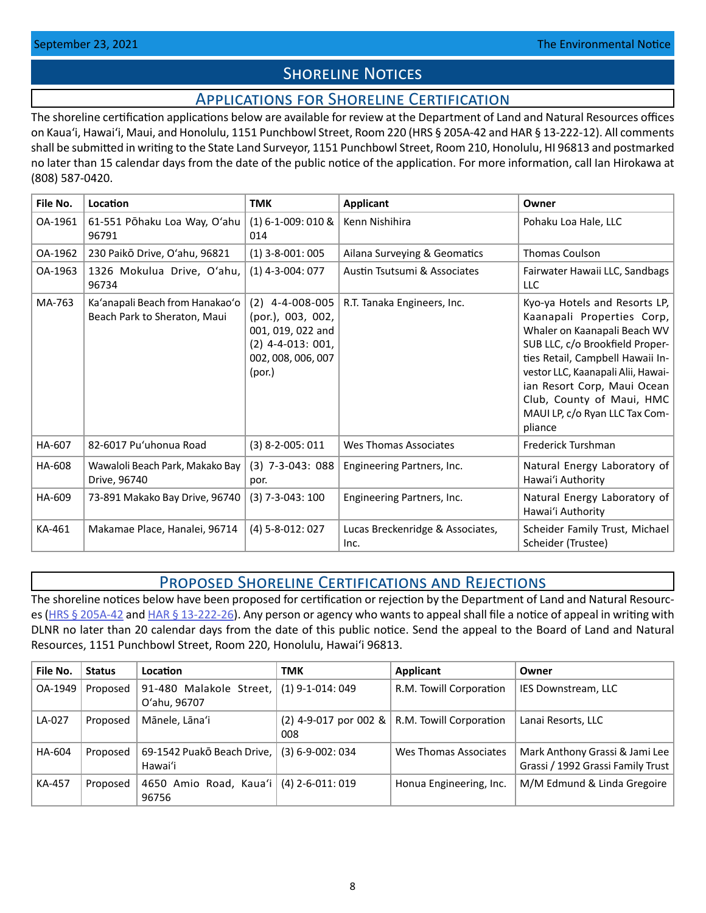# **SHORELINE NOTICES**

# Applications for Shoreline Certification

<span id="page-7-0"></span>The shoreline certification applications below are available for review at the Department of Land and Natural Resources offices on Kauaʻi, Hawaiʻi, Maui, and Honolulu, 1151 Punchbowl Street, Room 220 (HRS § 205A-42 and HAR § 13-222-12). All comments shall be submitted in writing to the State Land Surveyor, 1151 Punchbowl Street, Room 210, Honolulu, HI 96813 and postmarked no later than 15 calendar days from the date of the public notice of the application. For more information, call Ian Hirokawa at (808) 587-0420.

| File No. | Location                                                        | <b>TMK</b>                                                                                                         | Applicant                                | Owner                                                                                                                                                                                                                                                                                                             |  |
|----------|-----------------------------------------------------------------|--------------------------------------------------------------------------------------------------------------------|------------------------------------------|-------------------------------------------------------------------------------------------------------------------------------------------------------------------------------------------------------------------------------------------------------------------------------------------------------------------|--|
| OA-1961  | 61-551 Pōhaku Loa Way, O'ahu<br>96791                           | $(1)$ 6-1-009: 010 &<br>014                                                                                        | Kenn Nishihira                           | Pohaku Loa Hale, LLC                                                                                                                                                                                                                                                                                              |  |
| OA-1962  | 230 Paikō Drive, O'ahu, 96821                                   | $(1)$ 3-8-001: 005                                                                                                 | Ailana Surveying & Geomatics             | <b>Thomas Coulson</b>                                                                                                                                                                                                                                                                                             |  |
| OA-1963  | 1326 Mokulua Drive, O'ahu,<br>96734                             | $(1)$ 4-3-004: 077                                                                                                 | Austin Tsutsumi & Associates             | Fairwater Hawaii LLC, Sandbags<br><b>LLC</b>                                                                                                                                                                                                                                                                      |  |
| MA-763   | Ka'anapali Beach from Hanakao'o<br>Beach Park to Sheraton, Maui | $(2)$ 4-4-008-005<br>(por.), 003, 002,<br>001, 019, 022 and<br>$(2)$ 4-4-013: 001,<br>002, 008, 006, 007<br>(por.) | R.T. Tanaka Engineers, Inc.              | Kyo-ya Hotels and Resorts LP,<br>Kaanapali Properties Corp,<br>Whaler on Kaanapali Beach WV<br>SUB LLC, c/o Brookfield Proper-<br>ties Retail, Campbell Hawaii In-<br>vestor LLC, Kaanapali Alii, Hawai-<br>ian Resort Corp, Maui Ocean<br>Club, County of Maui, HMC<br>MAUI LP, c/o Ryan LLC Tax Com-<br>pliance |  |
| HA-607   | 82-6017 Pu'uhonua Road                                          | $(3)$ 8-2-005: 011                                                                                                 | Wes Thomas Associates                    | Frederick Turshman                                                                                                                                                                                                                                                                                                |  |
| HA-608   | Wawaloli Beach Park, Makako Bay<br>Drive, 96740                 | $(3)$ 7-3-043: 088<br>por.                                                                                         | Engineering Partners, Inc.               | Natural Energy Laboratory of<br>Hawai'i Authority                                                                                                                                                                                                                                                                 |  |
| HA-609   | 73-891 Makako Bay Drive, 96740                                  | $(3)$ 7-3-043: 100                                                                                                 | Engineering Partners, Inc.               | Natural Energy Laboratory of<br>Hawai'i Authority                                                                                                                                                                                                                                                                 |  |
| KA-461   | Makamae Place, Hanalei, 96714                                   | $(4)$ 5-8-012: 027                                                                                                 | Lucas Breckenridge & Associates,<br>Inc. | Scheider Family Trust, Michael<br>Scheider (Trustee)                                                                                                                                                                                                                                                              |  |

# Proposed Shoreline Certifications and Rejections

The shoreline notices below have been proposed for certification or rejection by the Department of Land and Natural Resourc-es [\(HRS § 205A-42](http://HRS § 205A-42) and [HAR § 13-222-26\)](https://dlnr.hawaii.gov/ld/files/2013/07/Ch13-222-Amend-Compil-Stand-Rev1.pdf). Any person or agency who wants to appeal shall file a notice of appeal in writing with DLNR no later than 20 calendar days from the date of this public notice. Send the appeal to the Board of Land and Natural Resources, 1151 Punchbowl Street, Room 220, Honolulu, Hawai'i 96813.

| File No.      | <b>Status</b> | Location                                | <b>TMK</b>             | Applicant                                       | Owner                                                               |
|---------------|---------------|-----------------------------------------|------------------------|-------------------------------------------------|---------------------------------------------------------------------|
| OA-1949       | Proposed      | 91-480 Malakole Street,<br>O'ahu, 96707 | $(1)$ 9-1-014: 049     | R.M. Towill Corporation                         | IES Downstream, LLC                                                 |
| LA-027        | Proposed      | Mānele, Lāna'i                          | 008                    | $(2)$ 4-9-017 por 002 & R.M. Towill Corporation | Lanai Resorts, LLC                                                  |
| HA-604        | Proposed      | 69-1542 Puakō Beach Drive,<br>Hawai'i   | $(3) 6 - 9 - 002: 034$ | Wes Thomas Associates                           | Mark Anthony Grassi & Jami Lee<br>Grassi / 1992 Grassi Family Trust |
| <b>KA-457</b> | Proposed      | 4650 Amio Road, Kaua'i<br>96756         | $(4)$ 2-6-011: 019     | Honua Engineering, Inc.                         | M/M Edmund & Linda Gregoire                                         |